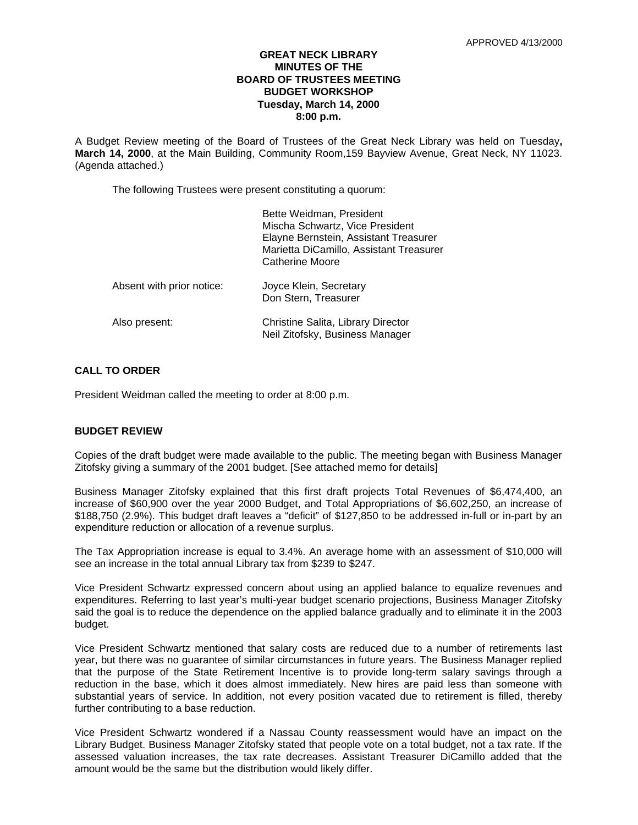# **GREAT NECK LIBRARY MINUTES OF THE BOARD OF TRUSTEES MEETING BUDGET WORKSHOP Tuesday, March 14, 2000 8:00 p.m.**

A Budget Review meeting of the Board of Trustees of the Great Neck Library was held on Tuesday**, March 14, 2000**, at the Main Building, Community Room,159 Bayview Avenue, Great Neck, NY 11023. (Agenda attached.)

The following Trustees were present constituting a quorum:

|                           | Bette Weidman, President<br>Mischa Schwartz, Vice President<br>Elayne Bernstein, Assistant Treasurer<br>Marietta DiCamillo, Assistant Treasurer<br>Catherine Moore |
|---------------------------|--------------------------------------------------------------------------------------------------------------------------------------------------------------------|
| Absent with prior notice: | Joyce Klein, Secretary<br>Don Stern, Treasurer                                                                                                                     |
| Also present:             | Christine Salita, Library Director<br>Neil Zitofsky, Business Manager                                                                                              |

# **CALL TO ORDER**

President Weidman called the meeting to order at 8:00 p.m.

# **BUDGET REVIEW**

Copies of the draft budget were made available to the public. The meeting began with Business Manager Zitofsky giving a summary of the 2001 budget. [See attached memo for details]

Business Manager Zitofsky explained that this first draft projects Total Revenues of \$6,474,400, an increase of \$60,900 over the year 2000 Budget, and Total Appropriations of \$6,602,250, an increase of \$188,750 (2.9%). This budget draft leaves a "deficit" of \$127,850 to be addressed in-full or in-part by an expenditure reduction or allocation of a revenue surplus.

The Tax Appropriation increase is equal to 3.4%. An average home with an assessment of \$10,000 will see an increase in the total annual Library tax from \$239 to \$247.

Vice President Schwartz expressed concern about using an applied balance to equalize revenues and expenditures. Referring to last year's multi-year budget scenario projections, Business Manager Zitofsky said the goal is to reduce the dependence on the applied balance gradually and to eliminate it in the 2003 budget.

Vice President Schwartz mentioned that salary costs are reduced due to a number of retirements last year, but there was no guarantee of similar circumstances in future years. The Business Manager replied that the purpose of the State Retirement Incentive is to provide long-term salary savings through a reduction in the base, which it does almost immediately. New hires are paid less than someone with substantial years of service. In addition, not every position vacated due to retirement is filled, thereby further contributing to a base reduction.

Vice President Schwartz wondered if a Nassau County reassessment would have an impact on the Library Budget. Business Manager Zitofsky stated that people vote on a total budget, not a tax rate. If the assessed valuation increases, the tax rate decreases. Assistant Treasurer DiCamillo added that the amount would be the same but the distribution would likely differ.